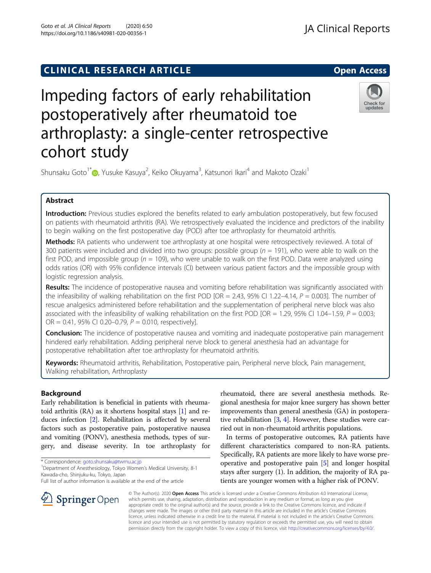# **CLINICAL RESEARCH ARTICLE CLINICAL RESEARCH ARTICLE**

# Impeding factors of early rehabilitation postoperatively after rheumatoid toe arthroplasty: a single-center retrospective cohort study

Shunsaku Goto<sup>1\*</sup> (**p**[,](http://orcid.org/0000-0002-2064-6664) Yusuke Kasuya<sup>2</sup>, Keiko Okuyama<sup>3</sup>, Katsunori Ikari<sup>4</sup> and Makoto Ozaki<sup>1</sup>

# Abstract

Introduction: Previous studies explored the benefits related to early ambulation postoperatively, but few focused on patients with rheumatoid arthritis (RA). We retrospectively evaluated the incidence and predictors of the inability to begin walking on the first postoperative day (POD) after toe arthroplasty for rheumatoid arthritis.

Methods: RA patients who underwent toe arthroplasty at one hospital were retrospectively reviewed. A total of 300 patients were included and divided into two groups: possible group ( $n = 191$ ), who were able to walk on the first POD, and impossible group ( $n = 109$ ), who were unable to walk on the first POD. Data were analyzed using odds ratios (OR) with 95% confidence intervals (CI) between various patient factors and the impossible group with logistic regression analysis.

Results: The incidence of postoperative nausea and vomiting before rehabilitation was significantly associated with the infeasibility of walking rehabilitation on the first POD [OR = 2.43, 95% CI 1.22–4.14,  $P = 0.003$ ]. The number of rescue analgesics administered before rehabilitation and the supplementation of peripheral nerve block was also associated with the infeasibility of walking rehabilitation on the first POD [OR = 1.29, 95% CI 1.04–1.59,  $P = 0.003$ ;  $OR = 0.41$ , 95% CI 0.20–0.79,  $P = 0.010$ , respectively].

**Conclusion:** The incidence of postoperative nausea and vomiting and inadequate postoperative pain management hindered early rehabilitation. Adding peripheral nerve block to general anesthesia had an advantage for postoperative rehabilitation after toe arthroplasty for rheumatoid arthritis.

Keywords: Rheumatoid arthritis, Rehabilitation, Postoperative pain, Peripheral nerve block, Pain management, Walking rehabilitation, Arthroplasty

# Background

Early rehabilitation is beneficial in patients with rheumatoid arthritis (RA) as it shortens hospital stays [[1\]](#page-5-0) and reduces infection [\[2](#page-5-0)]. Rehabilitation is affected by several factors such as postoperative pain, postoperative nausea and vomiting (PONV), anesthesia methods, types of surgery, and disease severity. In toe arthroplasty for

\* Correspondence: [goto.shunsaku@twmu.ac.jp](mailto:goto.shunsaku@twmu.ac.jp) <sup>1</sup>

<sup>1</sup> Department of Anesthesiology, Tokyo Women's Medical University, 8-1 Kawada-cho, Shinjuku-ku, Tokyo, Japan

Full list of author information is available at the end of the article

rheumatoid, there are several anesthesia methods. Regional anesthesia for major knee surgery has shown better improvements than general anesthesia (GA) in postoperative rehabilitation  $[3, 4]$  $[3, 4]$  $[3, 4]$  $[3, 4]$ . However, these studies were carried out in non-rheumatoid arthritis populations.

In terms of postoperative outcomes, RA patients have different characteristics compared to non-RA patients. Specifically, RA patients are more likely to have worse preoperative and postoperative pain [[5](#page-5-0)] and longer hospital stays after surgery (1). In addition, the majority of RA patients are younger women with a higher risk of PONV.

© The Author(s). 2020 Open Access This article is licensed under a Creative Commons Attribution 4.0 International License, which permits use, sharing, adaptation, distribution and reproduction in any medium or format, as long as you give appropriate credit to the original author(s) and the source, provide a link to the Creative Commons licence, and indicate if changes were made. The images or other third party material in this article are included in the article's Creative Commons licence, unless indicated otherwise in a credit line to the material. If material is not included in the article's Creative Commons licence and your intended use is not permitted by statutory regulation or exceeds the permitted use, you will need to obtain permission directly from the copyright holder. To view a copy of this licence, visit <http://creativecommons.org/licenses/by/4.0/>.





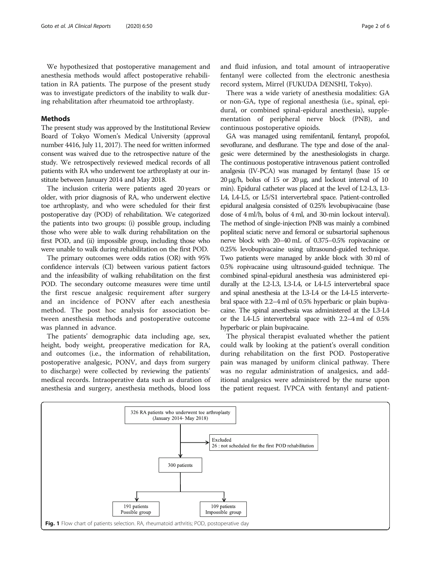<span id="page-1-0"></span>We hypothesized that postoperative management and anesthesia methods would affect postoperative rehabilitation in RA patients. The purpose of the present study was to investigate predictors of the inability to walk during rehabilitation after rheumatoid toe arthroplasty.

# Methods

The present study was approved by the Institutional Review Board of Tokyo Women's Medical University (approval number 4416, July 11, 2017). The need for written informed consent was waived due to the retrospective nature of the study. We retrospectively reviewed medical records of all patients with RA who underwent toe arthroplasty at our institute between January 2014 and May 2018.

The inclusion criteria were patients aged 20 years or older, with prior diagnosis of RA, who underwent elective toe arthroplasty, and who were scheduled for their first postoperative day (POD) of rehabilitation. We categorized the patients into two groups: (i) possible group, including those who were able to walk during rehabilitation on the first POD, and (ii) impossible group, including those who were unable to walk during rehabilitation on the first POD.

The primary outcomes were odds ratios (OR) with 95% confidence intervals (CI) between various patient factors and the infeasibility of walking rehabilitation on the first POD. The secondary outcome measures were time until the first rescue analgesic requirement after surgery and an incidence of PONV after each anesthesia method. The post hoc analysis for association between anesthesia methods and postoperative outcome was planned in advance.

The patients' demographic data including age, sex, height, body weight, preoperative medication for RA, and outcomes (i.e., the information of rehabilitation, postoperative analgesic, PONV, and days from surgery to discharge) were collected by reviewing the patients' medical records. Intraoperative data such as duration of anesthesia and surgery, anesthesia methods, blood loss and fluid infusion, and total amount of intraoperative fentanyl were collected from the electronic anesthesia record system, Mirrel (FUKUDA DENSHI, Tokyo).

There was a wide variety of anesthesia modalities: GA or non-GA, type of regional anesthesia (i.e., spinal, epidural, or combined spinal-epidural anesthesia), supplementation of peripheral nerve block (PNB), and continuous postoperative opioids.

GA was managed using remifentanil, fentanyl, propofol, sevoflurane, and desflurane. The type and dose of the analgesic were determined by the anesthesiologists in charge. The continuous postoperative intravenous patient controlled analgesia (IV-PCA) was managed by fentanyl (base 15 or 20 μg/h, bolus of 15 or 20 μg, and lockout interval of 10 min). Epidural catheter was placed at the level of L2-L3, L3- L4, L4-L5, or L5/S1 intervertebral space. Patient-controlled epidural analgesia consisted of 0.25% levobupivacaine (base dose of 4 ml/h, bolus of 4 ml, and 30-min lockout interval). The method of single-injection PNB was mainly a combined popliteal sciatic nerve and femoral or subsartorial saphenous nerve block with 20–40 mL of 0.375–0.5% ropivacaine or 0.25% levobupivacaine using ultrasound-guided technique. Two patients were managed by ankle block with 30 ml of 0.5% ropivacaine using ultrasound-guided technique. The combined spinal-epidural anesthesia was administered epidurally at the L2-L3, L3-L4, or L4-L5 intervertebral space and spinal anesthesia at the L3-L4 or the L4-L5 intervertebral space with 2.2–4 ml of 0.5% hyperbaric or plain bupivacaine. The spinal anesthesia was administered at the L3-L4 or the L4-L5 intervertebral space with 2.2–4 ml of 0.5% hyperbaric or plain bupivacaine.

The physical therapist evaluated whether the patient could walk by looking at the patient's overall condition during rehabilitation on the first POD. Postoperative pain was managed by uniform clinical pathway. There was no regular administration of analgesics, and additional analgesics were administered by the nurse upon the patient request. IVPCA with fentanyl and patient-

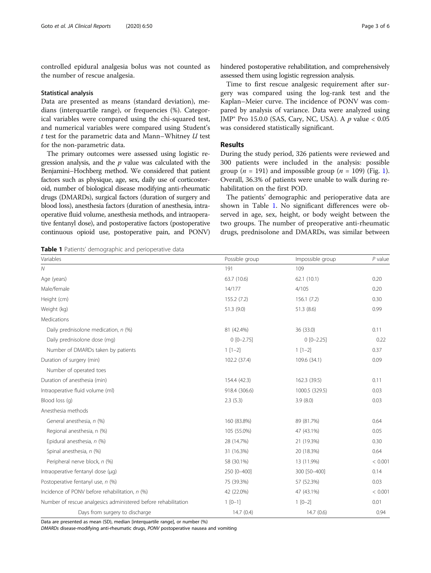controlled epidural analgesia bolus was not counted as the number of rescue analgesia.

#### Statistical analysis

Data are presented as means (standard deviation), medians (interquartile range), or frequencies (%). Categorical variables were compared using the chi-squared test, and numerical variables were compared using Student's  $t$  test for the parametric data and Mann–Whitney  $U$  test for the non-parametric data.

The primary outcomes were assessed using logistic regression analysis, and the  $p$  value was calculated with the Benjamini–Hochberg method. We considered that patient factors such as physique, age, sex, daily use of corticosteroid, number of biological disease modifying anti-rheumatic drugs (DMARDs), surgical factors (duration of surgery and blood loss), anesthesia factors (duration of anesthesia, intraoperative fluid volume, anesthesia methods, and intraoperative fentanyl dose), and postoperative factors (postoperative continuous opioid use, postoperative pain, and PONV)

Table 1 Patients' demographic and perioperative data

| 63.7 (10.6)   | 62.1(10.1)     | 0.20    |
|---------------|----------------|---------|
| 14/177        | 4/105          | 0.20    |
| 155.2(7.2)    | 156.1(7.2)     | 0.30    |
| 51.3 (9.0)    | 51.3(8.6)      | 0.99    |
|               |                |         |
| 81 (42.4%)    | 36 (33.0)      | 0.11    |
| $0$ [0-2.75]  | $0 [0 - 2.25]$ | 0.22    |
| $1[1-2]$      | $1[1-2]$       | 0.37    |
| 102.2 (37.4)  | 109.6 (34.1)   | 0.09    |
|               |                |         |
| 154.4 (42.3)  | 162.3 (39.5)   | 0.11    |
| 918.4 (306.6) | 1000.5 (329.5) | 0.03    |
| 2.3(5.3)      | 3.9(8.0)       | 0.03    |
|               |                |         |
| 160 (83.8%)   | 89 (81.7%)     | 0.64    |
| 105 (55.0%)   | 47 (43.1%)     | 0.05    |
| 28 (14.7%)    | 21 (19.3%)     | 0.30    |
| 31 (16.3%)    | 20 (18.3%)     | 0.64    |
| 58 (30.1%)    | 13 (11.9%)     | < 0.001 |
| 250 [0-400]   | 300 [50-400]   | 0.14    |
| 75 (39.3%)    | 57 (52.3%)     | 0.03    |
| 42 (22.0%)    | 47 (43.1%)     | < 0.001 |
| $1 [0-1]$     | $1 [0-2]$      | 0.01    |
| 14.7(0.4)     | 14.7(0.6)      | 0.94    |
|               |                |         |

Variables **Possible group** Constants and the Possible group Constants and the Possible group Constants and the P value

N 191 109

Data are presented as mean (SD), median [interquartile range], or number (%)

DMARDs disease-modifying anti-rheumatic drugs, PONV postoperative nausea and vomiting

hindered postoperative rehabilitation, and comprehensively assessed them using logistic regression analysis.

Time to first rescue analgesic requirement after surgery was compared using the log-rank test and the Kaplan–Meier curve. The incidence of PONV was compared by analysis of variance. Data were analyzed using JMP® Pro 15.0.0 (SAS, Cary, NC, USA). A  $p$  value < 0.05 was considered statistically significant.

### Results

During the study period, 326 patients were reviewed and 300 patients were included in the analysis: possible group ( $n = 191$  $n = 191$  $n = 191$ ) and impossible group ( $n = 109$ ) (Fig. 1). Overall, 36.3% of patients were unable to walk during rehabilitation on the first POD.

The patients' demographic and perioperative data are shown in Table 1. No significant differences were observed in age, sex, height, or body weight between the two groups. The number of preoperative anti-rheumatic drugs, prednisolone and DMARDs, was similar between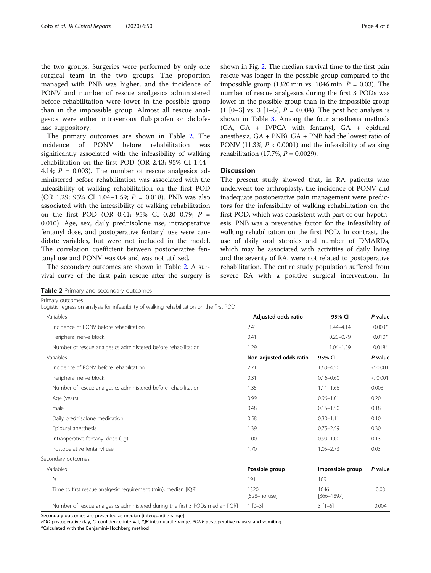the two groups. Surgeries were performed by only one surgical team in the two groups. The proportion managed with PNB was higher, and the incidence of PONV and number of rescue analgesics administered before rehabilitation were lower in the possible group than in the impossible group. Almost all rescue analgesics were either intravenous flubiprofen or diclofenac suppository.

The primary outcomes are shown in Table 2. The incidence of PONV before rehabilitation was significantly associated with the infeasibility of walking rehabilitation on the first POD (OR 2.43; 95% CI 1.44– 4.14;  $P = 0.003$ ). The number of rescue analgesics administered before rehabilitation was associated with the infeasibility of walking rehabilitation on the first POD (OR 1.29; 95% CI 1.04-1.59;  $P = 0.018$ ). PNB was also associated with the infeasibility of walking rehabilitation on the first POD (OR 0.41; 95% CI 0.20-0.79;  $P =$ 0.010). Age, sex, daily prednisolone use, intraoperative fentanyl dose, and postoperative fentanyl use were candidate variables, but were not included in the model. The correlation coefficient between postoperative fentanyl use and PONV was 0.4 and was not utilized.

The secondary outcomes are shown in Table 2. A survival curve of the first pain rescue after the surgery is shown in Fig. [2](#page-4-0). The median survival time to the first pain rescue was longer in the possible group compared to the impossible group (1320 min vs. 1046 min,  $P = 0.03$ ). The number of rescue analgesics during the first 3 PODs was lower in the possible group than in the impossible group  $(1 [0-3] \text{ vs. } 3 [1-5], P = 0.004)$ . The post hoc analysis is shown in Table [3](#page-4-0). Among the four anesthesia methods (GA, GA + IVPCA with fentanyl, GA + epidural anesthesia, GA + PNB), GA + PNB had the lowest ratio of PONV (11.3%,  $P < 0.0001$ ) and the infeasibility of walking rehabilitation (17.7%,  $P = 0.0029$ ).

# **Discussion**

The present study showed that, in RA patients who underwent toe arthroplasty, the incidence of PONV and inadequate postoperative pain management were predictors for the infeasibility of walking rehabilitation on the first POD, which was consistent with part of our hypothesis. PNB was a preventive factor for the infeasibility of walking rehabilitation on the first POD. In contrast, the use of daily oral steroids and number of DMARDs, which may be associated with activities of daily living and the severity of RA, were not related to postoperative rehabilitation. The entire study population suffered from severe RA with a positive surgical intervention. In

|  |  |  | Table 2 Primary and secondary outcomes |  |
|--|--|--|----------------------------------------|--|
|--|--|--|----------------------------------------|--|

| Primary outcomes<br>Logistic regression analysis for infeasibility of walking rehabilitation on the first POD |                          |                        |          |
|---------------------------------------------------------------------------------------------------------------|--------------------------|------------------------|----------|
| Variables                                                                                                     | Adjusted odds ratio      | 95% CI                 | P value  |
| Incidence of PONV before rehabilitation                                                                       | 2.43                     | $1.44 - 4.14$          | $0.003*$ |
| Peripheral nerve block                                                                                        | 0.41                     | $0.20 - 0.79$          | $0.010*$ |
| Number of rescue analgesics administered before rehabilitation                                                | 1.29                     | $1.04 - 1.59$          | $0.018*$ |
| Variables                                                                                                     | Non-adjusted odds ratio  | 95% CI                 | P value  |
| Incidence of PONV before rehabilitation                                                                       | 2.71                     | $1.63 - 4.50$          | < 0.001  |
| Peripheral nerve block                                                                                        | 0.31                     | $0.16 - 0.60$          | < 0.001  |
| Number of rescue analgesics administered before rehabilitation                                                | 1.35                     | $1.11 - 1.66$          | 0.003    |
| Age (years)                                                                                                   | 0.99                     | $0.96 - 1.01$          | 0.20     |
| male                                                                                                          | 0.48                     | $0.15 - 1.50$          | 0.18     |
| Daily prednisolone medication                                                                                 | 0.58                     | $0.30 - 1.11$          | 0.10     |
| Epidural anesthesia                                                                                           | 1.39                     | $0.75 - 2.59$          | 0.30     |
| Intraoperative fentanyl dose (µg)                                                                             | 1.00                     | $0.99 - 1.00$          | 0.13     |
| Postoperative fentanyl use                                                                                    | 1.70                     | $1.05 - 2.73$          | 0.03     |
| Secondary outcomes                                                                                            |                          |                        |          |
| Variables                                                                                                     | Possible group           | Impossible group       | P value  |
| $\mathcal N$                                                                                                  | 191                      | 109                    |          |
| Time to first rescue analgesic requirement (min), median [IQR]                                                | 1320<br>$[528 - no$ use] | 1046<br>$[366 - 1897]$ | 0.03     |
| Number of rescue analgesics administered during the first 3 PODs median [IQR]                                 | $1 [0-3]$                | $3[1-5]$               | 0.004    |

Secondary outcomes are presented as median [interquartile range]

POD postoperative day, CI confidence interval, IQR interquartile range, PONV postoperative nausea and vomiting \*Calculated with the Benjamini–Hochberg method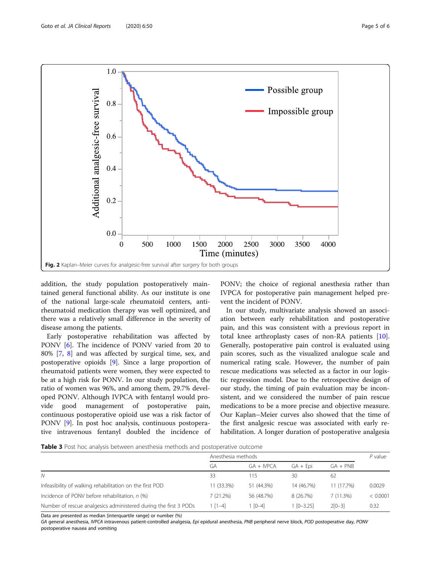<span id="page-4-0"></span>

addition, the study population postoperatively maintained general functional ability. As our institute is one of the national large-scale rheumatoid centers, antirheumatoid medication therapy was well optimized, and there was a relatively small difference in the severity of disease among the patients.

Early postoperative rehabilitation was affected by PONV [[6\]](#page-5-0). The incidence of PONV varied from 20 to 80% [\[7](#page-5-0), [8\]](#page-5-0) and was affected by surgical time, sex, and postoperative opioids [[9\]](#page-5-0). Since a large proportion of rheumatoid patients were women, they were expected to be at a high risk for PONV. In our study population, the ratio of women was 96%, and among them, 29.7% developed PONV. Although IVPCA with fentanyl would provide good management of postoperative pain, continuous postoperative opioid use was a risk factor of PONV [[9](#page-5-0)]. In post hoc analysis, continuous postoperative intravenous fentanyl doubled the incidence of

PONV; the choice of regional anesthesia rather than IVPCA for postoperative pain management helped prevent the incident of PONV.

In our study, multivariate analysis showed an association between early rehabilitation and postoperative pain, and this was consistent with a previous report in total knee arthroplasty cases of non-RA patients [\[10](#page-5-0)]. Generally, postoperative pain control is evaluated using pain scores, such as the visualized analogue scale and numerical rating scale. However, the number of pain rescue medications was selected as a factor in our logistic regression model. Due to the retrospective design of our study, the timing of pain evaluation may be inconsistent, and we considered the number of pain rescue medications to be a more precise and objective measure. Our Kaplan–Meier curves also showed that the time of the first analgesic rescue was associated with early rehabilitation. A longer duration of postoperative analgesia

Table 3 Post hoc analysis between anesthesia methods and postoperative outcome

|                                                                  | Anesthesia methods |             |                  |            | $P$ value |
|------------------------------------------------------------------|--------------------|-------------|------------------|------------|-----------|
|                                                                  | GА                 | $GA + WPCA$ | $GA + Epi$       | $GA + PNB$ |           |
| N                                                                | 33                 | 115         | 30               | -62        |           |
| Infeasibility of walking rehabilitation on the first POD         | 11 (33.3%)         | 51 (44.3%)  | 14 (46.7%)       | 11 (17.7%) | 0.0029    |
| Incidence of PONV before rehabilitation, n (%)                   | 7(21.2%)           | 56 (48.7%)  | 8 (26.7%)        | 7(11.3%)   | < 0.0001  |
| Number of rescue analgesics administered during the first 3 PODs | $1 [1-4]$          | $[0-4]$     | $1$ $[0 - 3.25]$ | $2[0-3]$   | 0.32      |

Data are presented as median [interquartile range] or number (%)

GA general anesthesia, IVPCA intravenous patient-controlled analgesia, Epi epidural anesthesia, PNB peripheral nerve block, POD postoperative day, PONV postoperative nausea and vomiting